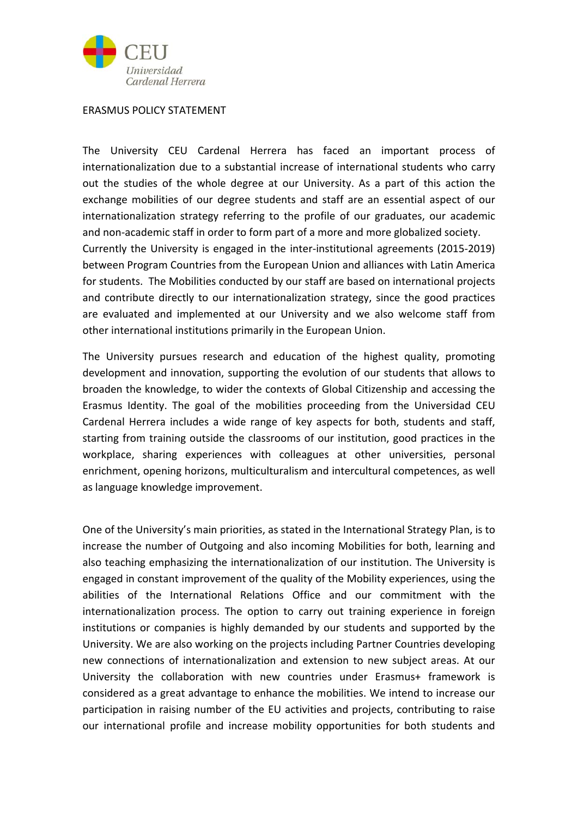

## ERASMUS POLICY STATEMENT

The University CEU Cardenal Herrera has faced an important process of internationalization due to a substantial increase of international students who carry out the studies of the whole degree at our University. As a part of this action the exchange mobilities of our degree students and staff are an essential aspect of our internationalization strategy referring to the profile of our graduates, our academic and non‐academic staff in order to form part of a more and more globalized society. Currently the University is engaged in the inter‐institutional agreements (2015‐2019) between Program Countries from the European Union and alliances with Latin America for students. The Mobilities conducted by our staff are based on international projects and contribute directly to our internationalization strategy, since the good practices are evaluated and implemented at our University and we also welcome staff from other international institutions primarily in the European Union.

The University pursues research and education of the highest quality, promoting development and innovation, supporting the evolution of our students that allows to broaden the knowledge, to wider the contexts of Global Citizenship and accessing the Erasmus Identity. The goal of the mobilities proceeding from the Universidad CEU Cardenal Herrera includes a wide range of key aspects for both, students and staff, starting from training outside the classrooms of our institution, good practices in the workplace, sharing experiences with colleagues at other universities, personal enrichment, opening horizons, multiculturalism and intercultural competences, as well as language knowledge improvement.

One of the University's main priorities, as stated in the International Strategy Plan, is to increase the number of Outgoing and also incoming Mobilities for both, learning and also teaching emphasizing the internationalization of our institution. The University is engaged in constant improvement of the quality of the Mobility experiences, using the abilities of the International Relations Office and our commitment with the internationalization process. The option to carry out training experience in foreign institutions or companies is highly demanded by our students and supported by the University. We are also working on the projects including Partner Countries developing new connections of internationalization and extension to new subject areas. At our University the collaboration with new countries under Erasmus+ framework is considered as a great advantage to enhance the mobilities. We intend to increase our participation in raising number of the EU activities and projects, contributing to raise our international profile and increase mobility opportunities for both students and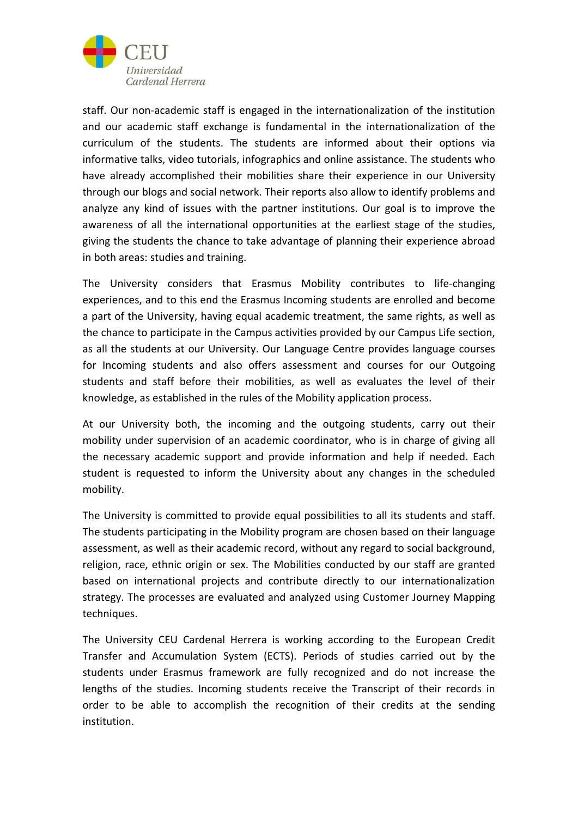

staff. Our non-academic staff is engaged in the internationalization of the institution and our academic staff exchange is fundamental in the internationalization of the curriculum of the students. The students are informed about their options via informative talks, video tutorials, infographics and online assistance. The students who have already accomplished their mobilities share their experience in our University through our blogs and social network. Their reports also allow to identify problems and analyze any kind of issues with the partner institutions. Our goal is to improve the awareness of all the international opportunities at the earliest stage of the studies, giving the students the chance to take advantage of planning their experience abroad in both areas: studies and training.

The University considers that Erasmus Mobility contributes to life-changing experiences, and to this end the Erasmus Incoming students are enrolled and become a part of the University, having equal academic treatment, the same rights, as well as the chance to participate in the Campus activities provided by our Campus Life section, as all the students at our University. Our Language Centre provides language courses for Incoming students and also offers assessment and courses for our Outgoing students and staff before their mobilities, as well as evaluates the level of their knowledge, as established in the rules of the Mobility application process.

At our University both, the incoming and the outgoing students, carry out their mobility under supervision of an academic coordinator, who is in charge of giving all the necessary academic support and provide information and help if needed. Each student is requested to inform the University about any changes in the scheduled mobility.

The University is committed to provide equal possibilities to all its students and staff. The students participating in the Mobility program are chosen based on their language assessment, as well as their academic record, without any regard to social background, religion, race, ethnic origin or sex. The Mobilities conducted by our staff are granted based on international projects and contribute directly to our internationalization strategy. The processes are evaluated and analyzed using Customer Journey Mapping techniques.

The University CEU Cardenal Herrera is working according to the European Credit Transfer and Accumulation System (ECTS). Periods of studies carried out by the students under Erasmus framework are fully recognized and do not increase the lengths of the studies. Incoming students receive the Transcript of their records in order to be able to accomplish the recognition of their credits at the sending institution.